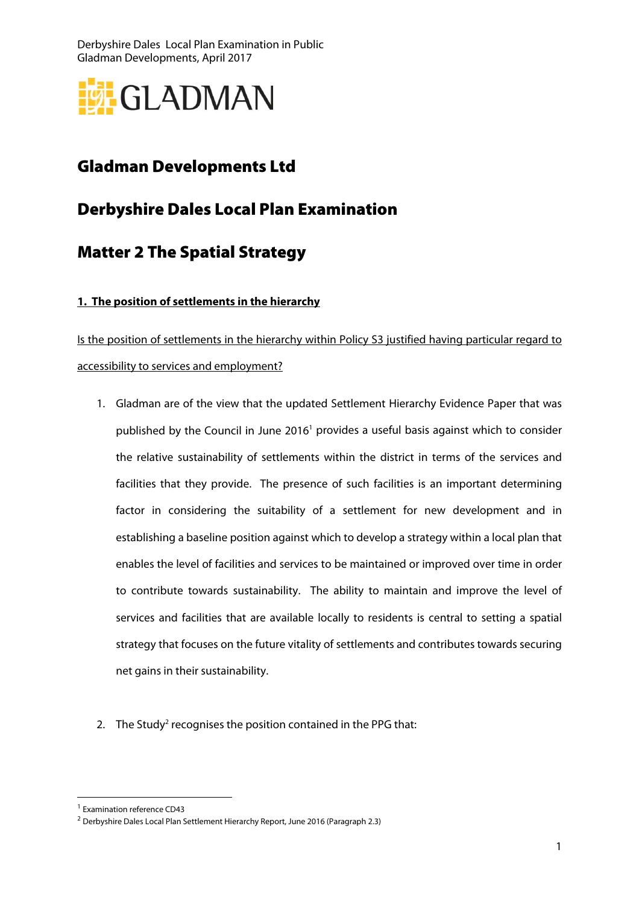Derbyshire Dales Local Plan Examination in Public Gladman Developments, April 2017



# Gladman Developments Ltd

## Derbyshire Dales Local Plan Examination

## Matter 2 The Spatial Strategy

### **1. The position of settlements in the hierarchy**

Is the position of settlements in the hierarchy within Policy S3 justified having particular regard to accessibility to services and employment?

- 1. Gladman are of the view that the updated Settlement Hierarchy Evidence Paper that was published by the Council in June 2016<sup>1</sup> provides a useful basis against which to consider the relative sustainability of settlements within the district in terms of the services and facilities that they provide. The presence of such facilities is an important determining factor in considering the suitability of a settlement for new development and in establishing a baseline position against which to develop a strategy within a local plan that enables the level of facilities and services to be maintained or improved over time in order to contribute towards sustainability. The ability to maintain and improve the level of services and facilities that are available locally to residents is central to setting a spatial strategy that focuses on the future vitality of settlements and contributes towards securing net gains in their sustainability.
- 2. The Study<sup>2</sup> recognises the position contained in the PPG that:

 $\overline{a}$ 

<sup>1</sup> Examination reference CD43

<sup>2</sup> Derbyshire Dales Local Plan Settlement Hierarchy Report, June 2016 (Paragraph 2.3)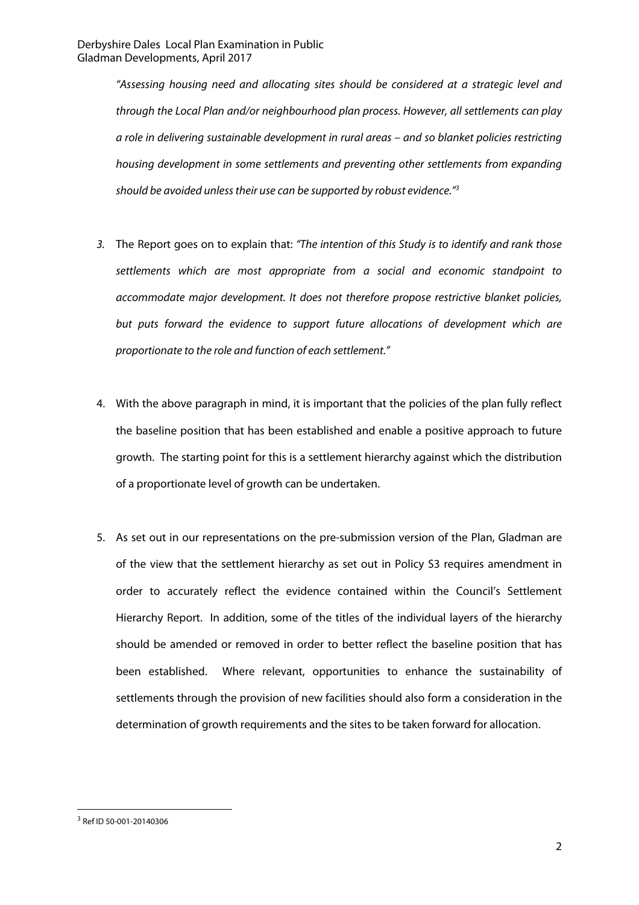"Assessing housing need and allocating sites should be considered at a strategic level and through the Local Plan and/or neighbourhood plan process. However, all settlements can play a role in delivering sustainable development in rural areas – and so blanket policies restricting housing development in some settlements and preventing other settlements from expanding should be avoided unless their use can be supported by robust evidence."3

- 3. The Report goes on to explain that: "The intention of this Study is to identify and rank those settlements which are most appropriate from a social and economic standpoint to accommodate major development. It does not therefore propose restrictive blanket policies, but puts forward the evidence to support future allocations of development which are proportionate to the role and function of each settlement."
- 4. With the above paragraph in mind, it is important that the policies of the plan fully reflect the baseline position that has been established and enable a positive approach to future growth. The starting point for this is a settlement hierarchy against which the distribution of a proportionate level of growth can be undertaken.
- 5. As set out in our representations on the pre-submission version of the Plan, Gladman are of the view that the settlement hierarchy as set out in Policy S3 requires amendment in order to accurately reflect the evidence contained within the Council's Settlement Hierarchy Report. In addition, some of the titles of the individual layers of the hierarchy should be amended or removed in order to better reflect the baseline position that has been established. Where relevant, opportunities to enhance the sustainability of settlements through the provision of new facilities should also form a consideration in the determination of growth requirements and the sites to be taken forward for allocation.

 $\overline{a}$ 

<sup>3</sup> Ref ID 50-001-20140306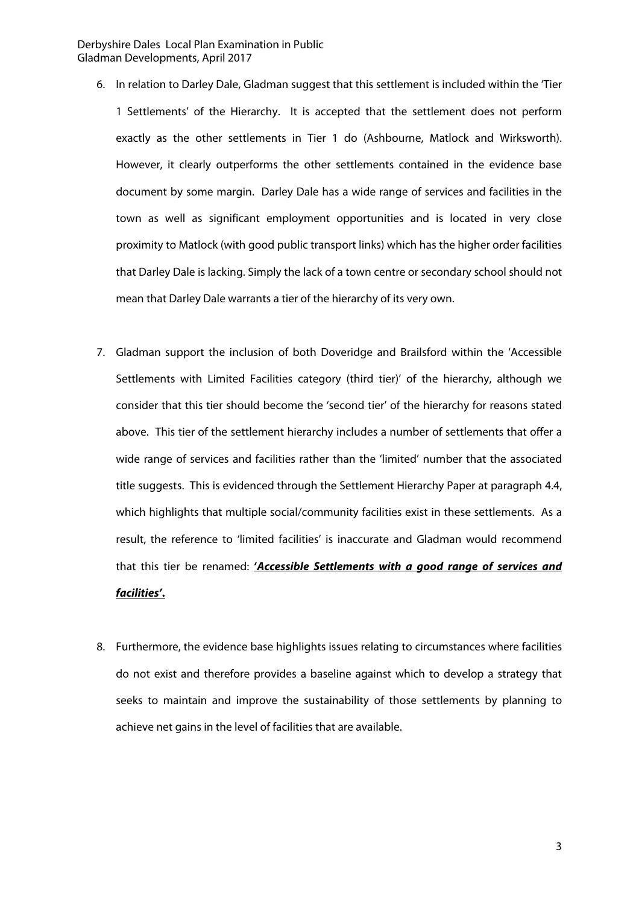#### Derbyshire Dales Local Plan Examination in Public Gladman Developments, April 2017

- 6. In relation to Darley Dale, Gladman suggest that this settlement is included within the 'Tier 1 Settlements' of the Hierarchy. It is accepted that the settlement does not perform exactly as the other settlements in Tier 1 do (Ashbourne, Matlock and Wirksworth). However, it clearly outperforms the other settlements contained in the evidence base document by some margin. Darley Dale has a wide range of services and facilities in the town as well as significant employment opportunities and is located in very close proximity to Matlock (with good public transport links) which has the higher order facilities that Darley Dale is lacking. Simply the lack of a town centre or secondary school should not mean that Darley Dale warrants a tier of the hierarchy of its very own.
- 7. Gladman support the inclusion of both Doveridge and Brailsford within the 'Accessible Settlements with Limited Facilities category (third tier)' of the hierarchy, although we consider that this tier should become the 'second tier' of the hierarchy for reasons stated above. This tier of the settlement hierarchy includes a number of settlements that offer a wide range of services and facilities rather than the 'limited' number that the associated title suggests. This is evidenced through the Settlement Hierarchy Paper at paragraph 4.4, which highlights that multiple social/community facilities exist in these settlements. As a result, the reference to 'limited facilities' is inaccurate and Gladman would recommend that this tier be renamed: **'Accessible Settlements with a good range of services and facilities'.**
- 8. Furthermore, the evidence base highlights issues relating to circumstances where facilities do not exist and therefore provides a baseline against which to develop a strategy that seeks to maintain and improve the sustainability of those settlements by planning to achieve net gains in the level of facilities that are available.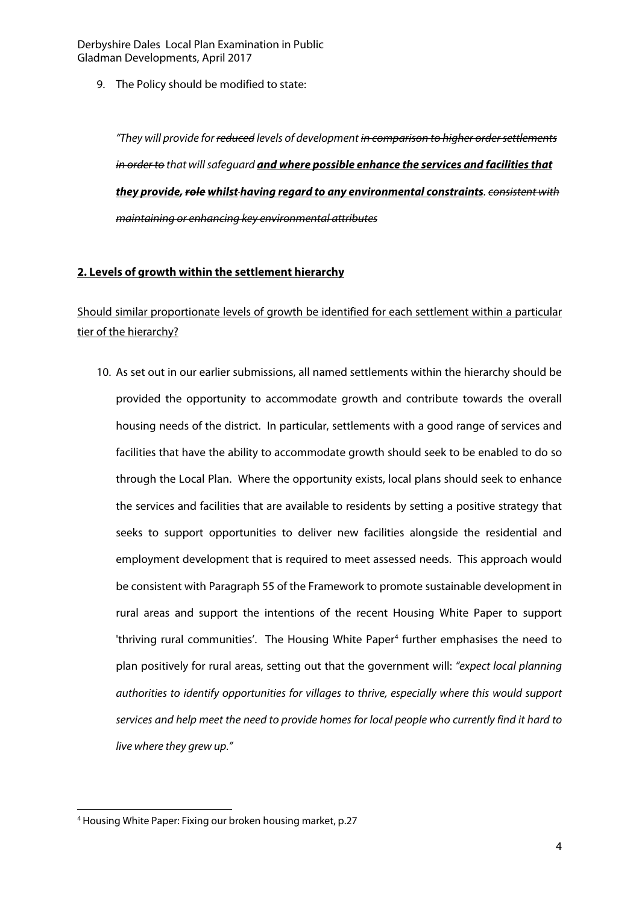9. The Policy should be modified to state:

"They will provide for <del>reduced</del> levels of development <del>in comparison to higher order settlements</del> in order to that will safeguard **and where possible enhance the services and facilities that they provide, role whilst having regard to any environmental constraints**. consistent with maintaining or enhancing key environmental attributes

#### **2. Levels of growth within the settlement hierarchy**

Should similar proportionate levels of growth be identified for each settlement within a particular tier of the hierarchy?

10. As set out in our earlier submissions, all named settlements within the hierarchy should be provided the opportunity to accommodate growth and contribute towards the overall housing needs of the district. In particular, settlements with a good range of services and facilities that have the ability to accommodate growth should seek to be enabled to do so through the Local Plan. Where the opportunity exists, local plans should seek to enhance the services and facilities that are available to residents by setting a positive strategy that seeks to support opportunities to deliver new facilities alongside the residential and employment development that is required to meet assessed needs. This approach would be consistent with Paragraph 55 of the Framework to promote sustainable development in rural areas and support the intentions of the recent Housing White Paper to support 'thriving rural communities'. The Housing White Paper<sup>4</sup> further emphasises the need to plan positively for rural areas, setting out that the government will: "expect local planning authorities to identify opportunities for villages to thrive, especially where this would support services and help meet the need to provide homes for local people who currently find it hard to live where they grew up."

 $\overline{a}$ 4 Housing White Paper: Fixing our broken housing market, p.27